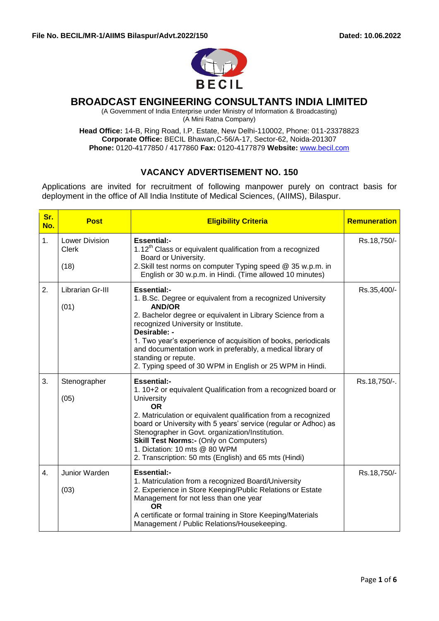

## **BROADCAST ENGINEERING CONSULTANTS INDIA LIMITED**

(A Government of India Enterprise under Ministry of Information & Broadcasting)

(A Mini Ratna Company)

**Head Office:** 14-B, Ring Road, I.P. Estate, New Delhi-110002, Phone: 011-23378823 **Corporate Office:** BECIL Bhawan,C-56/A-17, Sector-62, Noida-201307 **Phone:** 0120-4177850 / 4177860 **Fax:** 0120-4177879 **Website:** [www.becil.com](http://www.becil.com/)

# **VACANCY ADVERTISEMENT NO. 150**

Applications are invited for recruitment of following manpower purely on contract basis for deployment in the office of All India Institute of Medical Sciences, (AIIMS), Bilaspur.

| Sr.<br>No. | <b>Post</b>                                   | <b>Eligibility Criteria</b>                                                                                                                                                                                                                                                                                                                                                                                                                               | <b>Remuneration</b> |
|------------|-----------------------------------------------|-----------------------------------------------------------------------------------------------------------------------------------------------------------------------------------------------------------------------------------------------------------------------------------------------------------------------------------------------------------------------------------------------------------------------------------------------------------|---------------------|
| 1.         | <b>Lower Division</b><br><b>Clerk</b><br>(18) | <b>Essential:-</b><br>1.12 <sup>th</sup> Class or equivalent qualification from a recognized<br>Board or University.<br>2. Skill test norms on computer Typing speed @ 35 w.p.m. in<br>English or 30 w.p.m. in Hindi. (Time allowed 10 minutes)                                                                                                                                                                                                           | Rs.18,750/-         |
| 2.         | Librarian Gr-III<br>(01)                      | <b>Essential:-</b><br>1. B.Sc. Degree or equivalent from a recognized University<br><b>AND/OR</b><br>2. Bachelor degree or equivalent in Library Science from a<br>recognized University or Institute.<br>Desirable: -<br>1. Two year's experience of acquisition of books, periodicals<br>and documentation work in preferably, a medical library of<br>standing or repute.<br>2. Typing speed of 30 WPM in English or 25 WPM in Hindi.                  | Rs.35,400/-         |
| 3.         | Stenographer<br>(05)                          | <b>Essential:-</b><br>1. 10+2 or equivalent Qualification from a recognized board or<br><b>University</b><br><b>OR</b><br>2. Matriculation or equivalent qualification from a recognized<br>board or University with 5 years' service (regular or Adhoc) as<br>Stenographer in Govt. organization/Institution.<br><b>Skill Test Norms:- (Only on Computers)</b><br>1. Dictation: 10 mts @ 80 WPM<br>2. Transcription: 50 mts (English) and 65 mts (Hindi) | Rs.18,750/-.        |
| 4.         | Junior Warden<br>(03)                         | <b>Essential:-</b><br>1. Matriculation from a recognized Board/University<br>2. Experience in Store Keeping/Public Relations or Estate<br>Management for not less than one year<br>0R<br>A certificate or formal training in Store Keeping/Materials<br>Management / Public Relations/Housekeeping.                                                                                                                                                       | Rs.18,750/-         |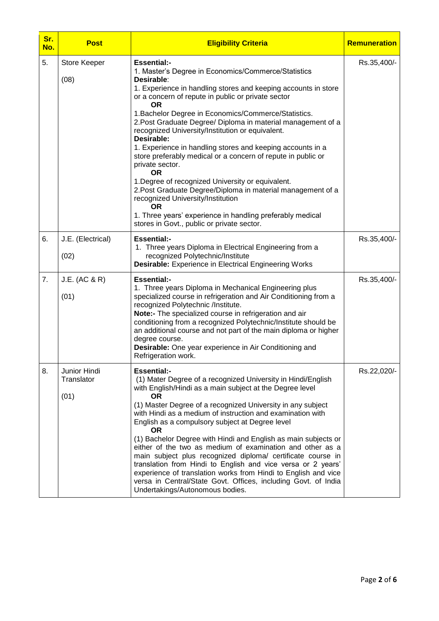| Sr.<br>No. | <b>Post</b>                        | <b>Eligibility Criteria</b>                                                                                                                                                                                                                                                                                                                                                                                                                                                                                                                                                                                                                                                                                                                                                                                                                                           | Remuneration |
|------------|------------------------------------|-----------------------------------------------------------------------------------------------------------------------------------------------------------------------------------------------------------------------------------------------------------------------------------------------------------------------------------------------------------------------------------------------------------------------------------------------------------------------------------------------------------------------------------------------------------------------------------------------------------------------------------------------------------------------------------------------------------------------------------------------------------------------------------------------------------------------------------------------------------------------|--------------|
| 5.         | Store Keeper<br>(08)               | <b>Essential:-</b><br>1. Master's Degree in Economics/Commerce/Statistics<br>Desirable:<br>1. Experience in handling stores and keeping accounts in store<br>or a concern of repute in public or private sector<br><b>OR</b><br>1. Bachelor Degree in Economics/Commerce/Statistics.<br>2. Post Graduate Degree/ Diploma in material management of a<br>recognized University/Institution or equivalent.<br>Desirable:<br>1. Experience in handling stores and keeping accounts in a<br>store preferably medical or a concern of repute in public or<br>private sector.<br><b>OR</b><br>1. Degree of recognized University or equivalent.<br>2. Post Graduate Degree/Diploma in material management of a<br>recognized University/Institution<br><b>OR</b><br>1. Three years' experience in handling preferably medical<br>stores in Govt., public or private sector. | Rs.35,400/-  |
| 6.         | J.E. (Electrical)<br>(02)          | <b>Essential:-</b><br>1. Three years Diploma in Electrical Engineering from a<br>recognized Polytechnic/Institute<br><b>Desirable:</b> Experience in Electrical Engineering Works                                                                                                                                                                                                                                                                                                                                                                                                                                                                                                                                                                                                                                                                                     | Rs.35,400/-  |
| 7.         | J.E. (AC & R)<br>(01)              | <b>Essential:-</b><br>1. Three years Diploma in Mechanical Engineering plus<br>specialized course in refrigeration and Air Conditioning from a<br>recognized Polytechnic /Institute.<br>Note:- The specialized course in refrigeration and air<br>conditioning from a recognized Polytechnic/Institute should be<br>an additional course and not part of the main diploma or higher<br>degree course.<br>Desirable: One year experience in Air Conditioning and<br>Refrigeration work.                                                                                                                                                                                                                                                                                                                                                                                | Rs.35,400/-  |
| 8.         | Junior Hindi<br>Translator<br>(01) | <b>Essential:-</b><br>(1) Mater Degree of a recognized University in Hindi/English<br>with English/Hindi as a main subject at the Degree level<br><b>OR</b><br>(1) Master Degree of a recognized University in any subject<br>with Hindi as a medium of instruction and examination with<br>English as a compulsory subject at Degree level<br><b>OR</b><br>(1) Bachelor Degree with Hindi and English as main subjects or<br>either of the two as medium of examination and other as a<br>main subject plus recognized diploma/ certificate course in<br>translation from Hindi to English and vice versa or 2 years'<br>experience of translation works from Hindi to English and vice<br>versa in Central/State Govt. Offices, including Govt. of India<br>Undertakings/Autonomous bodies.                                                                         | Rs.22,020/-  |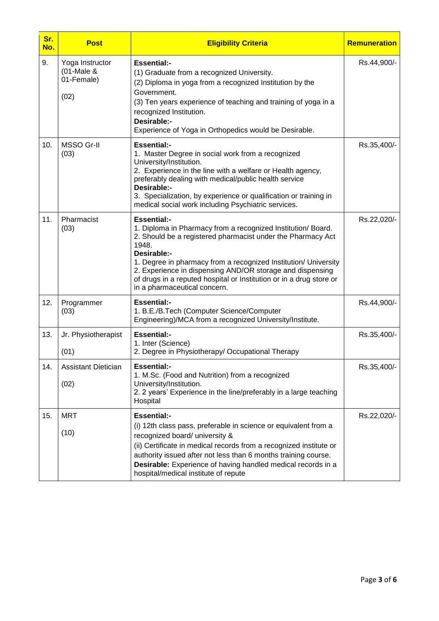| Sr.<br>No. | <b>Post</b>                                            | <b>Eligibility Criteria</b>                                                                                                                                                                                                                                                                                                                                                                                      | <b>Remuneration</b> |
|------------|--------------------------------------------------------|------------------------------------------------------------------------------------------------------------------------------------------------------------------------------------------------------------------------------------------------------------------------------------------------------------------------------------------------------------------------------------------------------------------|---------------------|
| 9.         | Yoga Instructor<br>$(01$ -Male &<br>01-Female)<br>(02) | <b>Essential:-</b><br>(1) Graduate from a recognized University.<br>(2) Diploma in yoga from a recognized Institution by the<br>Government.<br>(3) Ten years experience of teaching and training of yoga in a<br>recognized Institution.<br>Desirable:-<br>Experience of Yoga in Orthopedics would be Desirable.                                                                                                 | Rs.44,900/-         |
| 10.        | <b>MSSO Gr-II</b><br>(03)                              | <b>Essential:-</b><br>1. Master Degree in social work from a recognized<br>University/Institution.<br>2. Experience in the line with a welfare or Health agency,<br>preferably dealing with medical/public health service<br>Desirable:-<br>3. Specialization, by experience or qualification or training in<br>medical social work including Psychiatric services.                                              | Rs.35,400/-         |
| 11.        | Pharmacist<br>(03)                                     | <b>Essential:-</b><br>1. Diploma in Pharmacy from a recognized Institution/ Board.<br>2. Should be a registered pharmacist under the Pharmacy Act<br>1948.<br>Desirable:-<br>1. Degree in pharmacy from a recognized Institution/ University<br>2. Experience in dispensing AND/OR storage and dispensing<br>of drugs in a reputed hospital or Institution or in a drug store or<br>in a pharmaceutical concern. | Rs.22,020/-         |
| 12.        | Programmer<br>(03)                                     | <b>Essential:-</b><br>1. B.E./B.Tech (Computer Science/Computer<br>Engineering)/MCA from a recognized University/Institute.                                                                                                                                                                                                                                                                                      | Rs.44,900/-         |
| 13.        | Jr. Physiotherapist<br>(01)                            | <b>Essential:-</b><br>1. Inter (Science)<br>2. Degree in Physiotherapy/ Occupational Therapy                                                                                                                                                                                                                                                                                                                     | Rs.35,400/-         |
| 14.        | <b>Assistant Dietician</b><br>(02)                     | <b>Essential:-</b><br>1. M.Sc. (Food and Nutrition) from a recognized<br>University/Institution.<br>2. 2 years' Experience in the line/preferably in a large teaching<br>Hospital                                                                                                                                                                                                                                | Rs.35,400/-         |
| 15.        | <b>MRT</b><br>(10)                                     | <b>Essential:-</b><br>(i) 12th class pass, preferable in science or equivalent from a<br>recognized board/ university &<br>(ii) Certificate in medical records from a recognized institute or<br>authority issued after not less than 6 months training course.<br>Desirable: Experience of having handled medical records in a<br>hospital/medical institute of repute                                          | Rs.22,020/-         |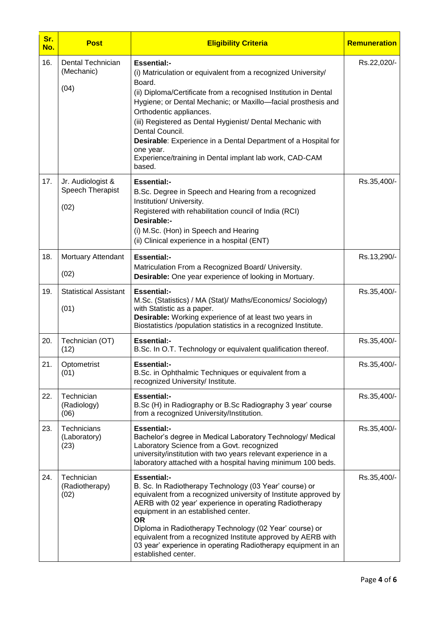| Sr.<br>No. | <b>Post</b>                                   | <b>Eligibility Criteria</b>                                                                                                                                                                                                                                                                                                                                                                                                                                                                        | <b>Remuneration</b> |
|------------|-----------------------------------------------|----------------------------------------------------------------------------------------------------------------------------------------------------------------------------------------------------------------------------------------------------------------------------------------------------------------------------------------------------------------------------------------------------------------------------------------------------------------------------------------------------|---------------------|
| 16.        | Dental Technician<br>(Mechanic)<br>(04)       | <b>Essential:-</b><br>(i) Matriculation or equivalent from a recognized University/<br>Board.<br>(ii) Diploma/Certificate from a recognised Institution in Dental<br>Hygiene; or Dental Mechanic; or Maxillo-facial prosthesis and<br>Orthodentic appliances.<br>(iii) Registered as Dental Hygienist/ Dental Mechanic with<br>Dental Council.<br>Desirable: Experience in a Dental Department of a Hospital for<br>one year.<br>Experience/training in Dental implant lab work, CAD-CAM<br>based. | Rs.22,020/-         |
| 17.        | Jr. Audiologist &<br>Speech Therapist<br>(02) | <b>Essential:-</b><br>B.Sc. Degree in Speech and Hearing from a recognized<br>Institution/ University.<br>Registered with rehabilitation council of India (RCI)<br>Desirable:-<br>(i) M.Sc. (Hon) in Speech and Hearing<br>(ii) Clinical experience in a hospital (ENT)                                                                                                                                                                                                                            | Rs.35,400/-         |
| 18.        | Mortuary Attendant<br>(02)                    | <b>Essential:-</b><br>Matriculation From a Recognized Board/ University.<br>Desirable: One year experience of looking in Mortuary.                                                                                                                                                                                                                                                                                                                                                                 | Rs.13,290/-         |
| 19.        | <b>Statistical Assistant</b><br>(01)          | <b>Essential:-</b><br>M.Sc. (Statistics) / MA (Stat)/ Maths/Economics/ Sociology)<br>with Statistic as a paper.<br><b>Desirable:</b> Working experience of at least two years in<br>Biostatistics /population statistics in a recognized Institute.                                                                                                                                                                                                                                                | Rs.35,400/-         |
| 20.        | Technician (OT)<br>(12)                       | <b>Essential:-</b><br>B.Sc. In O.T. Technology or equivalent qualification thereof.                                                                                                                                                                                                                                                                                                                                                                                                                | Rs.35,400/-         |
| 21.        | Optometrist<br>(01)                           | <b>Essential:-</b><br>B.Sc. in Ophthalmic Techniques or equivalent from a<br>recognized University/ Institute.                                                                                                                                                                                                                                                                                                                                                                                     | Rs.35,400/-         |
| 22.        | Technician<br>(Radiology)<br>(06)             | <b>Essential:-</b><br>B.Sc (H) in Radiography or B.Sc Radiography 3 year' course<br>from a recognized University/Institution.                                                                                                                                                                                                                                                                                                                                                                      | Rs.35,400/-         |
| 23.        | Technicians<br>(Laboratory)<br>(23)           | <b>Essential:-</b><br>Bachelor's degree in Medical Laboratory Technology/ Medical<br>Laboratory Science from a Govt. recognized<br>university/institution with two years relevant experience in a<br>laboratory attached with a hospital having minimum 100 beds.                                                                                                                                                                                                                                  | Rs.35,400/-         |
| 24.        | Technician<br>(Radiotherapy)<br>(02)          | <b>Essential:-</b><br>B. Sc. In Radiotherapy Technology (03 Year' course) or<br>equivalent from a recognized university of Institute approved by<br>AERB with 02 year' experience in operating Radiotherapy<br>equipment in an established center.<br><b>OR</b><br>Diploma in Radiotherapy Technology (02 Year' course) or<br>equivalent from a recognized Institute approved by AERB with<br>03 year' experience in operating Radiotherapy equipment in an<br>established center.                 | Rs.35,400/-         |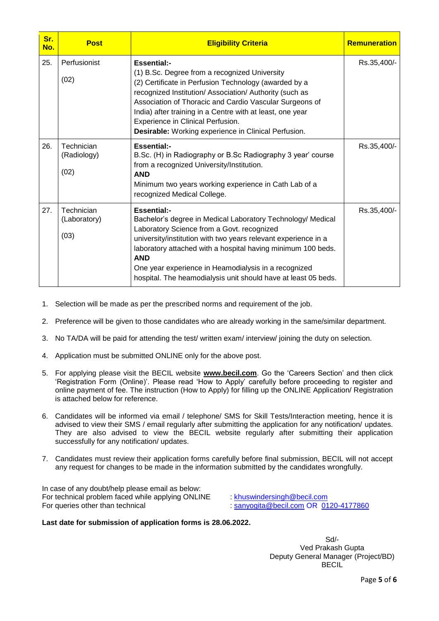| Sr.<br>No. | <b>Post</b>                        | <b>Eligibility Criteria</b>                                                                                                                                                                                                                                                                                                                                                                                         | <b>Remuneration</b> |
|------------|------------------------------------|---------------------------------------------------------------------------------------------------------------------------------------------------------------------------------------------------------------------------------------------------------------------------------------------------------------------------------------------------------------------------------------------------------------------|---------------------|
| 25.        | Perfusionist<br>(02)               | <b>Essential:-</b><br>(1) B.Sc. Degree from a recognized University<br>(2) Certificate in Perfusion Technology (awarded by a<br>recognized Institution/ Association/ Authority (such as<br>Association of Thoracic and Cardio Vascular Surgeons of<br>India) after training in a Centre with at least, one year<br>Experience in Clinical Perfusion.<br><b>Desirable:</b> Working experience in Clinical Perfusion. | Rs.35,400/-         |
| 26.        | Technician<br>(Radiology)<br>(02)  | <b>Essential:-</b><br>B.Sc. (H) in Radiography or B.Sc Radiography 3 year' course<br>from a recognized University/Institution.<br><b>AND</b><br>Minimum two years working experience in Cath Lab of a<br>recognized Medical College.                                                                                                                                                                                | Rs.35,400/-         |
| 27.        | Technician<br>(Laboratory)<br>(03) | <b>Essential:-</b><br>Bachelor's degree in Medical Laboratory Technology/ Medical<br>Laboratory Science from a Govt. recognized<br>university/institution with two years relevant experience in a<br>laboratory attached with a hospital having minimum 100 beds.<br><b>AND</b><br>One year experience in Heamodialysis in a recognized<br>hospital. The heamodialysis unit should have at least 05 beds.           | Rs.35,400/-         |

- 1. Selection will be made as per the prescribed norms and requirement of the job.
- 2. Preference will be given to those candidates who are already working in the same/similar department.
- 3. No TA/DA will be paid for attending the test/ written exam/ interview/ joining the duty on selection.
- 4. Application must be submitted ONLINE only for the above post.
- 5. For applying please visit the BECIL website **[www.becil.com](http://www.becil.com/)**. Go the "Careers Section" and then click 'Registration Form (Online)'. Please read 'How to Apply' carefully before proceeding to register and online payment of fee. The instruction (How to Apply) for filling up the ONLINE Application/ Registration is attached below for reference.
- 6. Candidates will be informed via email / telephone/ SMS for Skill Tests/Interaction meeting, hence it is advised to view their SMS / email regularly after submitting the application for any notification/ updates. They are also advised to view the BECIL website regularly after submitting their application successfully for any notification/ updates.
- 7. Candidates must review their application forms carefully before final submission, BECIL will not accept any request for changes to be made in the information submitted by the candidates wrongfully.

In case of any doubt/help please email as below: For technical problem faced while applying ONLINE : [khuswindersingh@becil.com](mailto:khuswindersingh@becil.com)<br>For queries other than technical : sanyogita@becil.com OR 01

 $\therefore$  [sanyogita@becil.com](mailto:sanyogita@becil.com) OR 0120-4177860

## **Last date for submission of application forms is 28.06.2022.**

Sd/- Ved Prakash Gupta Deputy General Manager (Project/BD) BECIL